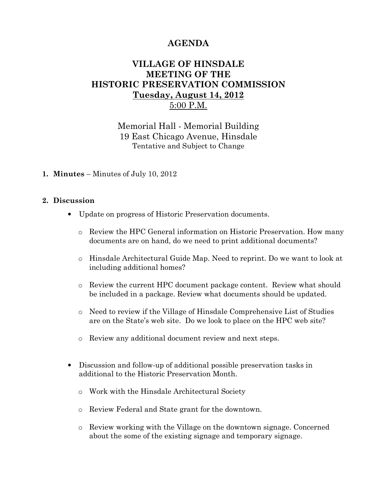# AGENDA

## VILLAGE OF HINSDALE MEETING OF THE HISTORIC PRESERVATION COMMISSION Tuesday, August 14, 2012 5:00 P.M.

Memorial Hall - Memorial Building 19 East Chicago Avenue, Hinsdale Tentative and Subject to Change

#### 1. Minutes – Minutes of July 10, 2012

#### 2. Discussion

- Update on progress of Historic Preservation documents.
	- o Review the HPC General information on Historic Preservation. How many documents are on hand, do we need to print additional documents?
	- o Hinsdale Architectural Guide Map. Need to reprint. Do we want to look at including additional homes?
	- o Review the current HPC document package content. Review what should be included in a package. Review what documents should be updated.
	- o Need to review if the Village of Hinsdale Comprehensive List of Studies are on the State's web site. Do we look to place on the HPC web site?
	- o Review any additional document review and next steps.
- Discussion and follow-up of additional possible preservation tasks in additional to the Historic Preservation Month.
	- o Work with the Hinsdale Architectural Society
	- o Review Federal and State grant for the downtown.
	- o Review working with the Village on the downtown signage. Concerned about the some of the existing signage and temporary signage.